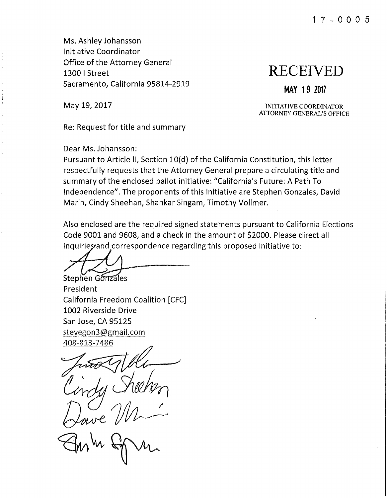Ms. Ashley Johansson Initiative Coordinator Office of the Attorney General 1300 I Street **RECEIVED**  Sacramento, California 95814-2919 **MAY 1 9 2017** 

May 19, 2017 **INITIATIVE COORDINATOR ATTORNEY GENERAL'S** OFFICE

Re: Request for title and summary

Dear Ms. Johansson:

Pursuant to Article II, Section 10(d) of the California Constitution, this letter respectfully requests that the Attorney General prepare a circulating title and summary of the enclosed ballot initiative: "California's Future: A Path To Independence". The proponents of this initiative are Stephen Gonzales, David Marin, Cindy Sheehan, Shankar Singam, Timothy Vollmer.

Also enclosed are the required signed statements pursuant to California Elections Code 9001 and 9608, and a check in the amount of \$2000. Please direct all inquirie wand correspondence regarding this proposed initiative to:

Stephen Gonzales

President California Freedom Coalition [CFC] 1002 Riverside Drive San Jose, CA 95125 stevegon3@gmail.com 408-813-7486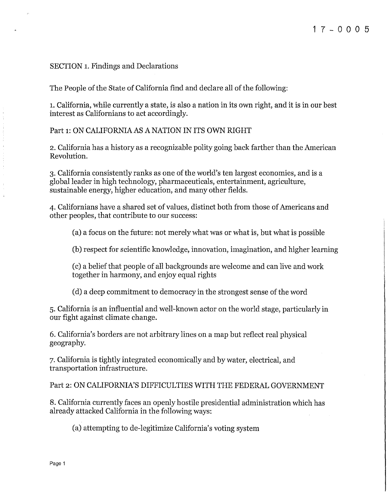## SECTION 1. Findings and Declarations

The People of the State of California find and declare all of the following:

1. California, while currently a state, is also a nation in its own right, and it is in our best interest as Californians to act accordingly.

Part 1: ON CALIFORNIA AS A NATION IN ITS OWN RIGHT

2. California has a history as a recognizable polity going back farther than the American Revolution.

3. California consistently ranks as one of the world's ten largest economies, and is a global leader in high technology, pharmaceuticals, entertainment, agriculture, sustainable energy, higher education, and many other fields.

4. Californians have a shared set of values, distinct both from those of Americans and other peoples, that contribute to our success:

(a) a focus on the future: not merely what was or what is, but what is possible

(b) respect for scientific knowledge, innovation, imagination, and higher learning

(c) a belief that people of all backgrounds are welcome and can live and work together in harmony, and enjoy equal rights

(d) a deep commitment to democracy in the strongest sense of the word

5. California is an influential and well-known actor on the world stage, particularly in our fight against climate change.

6. California's borders are not arbitrary lines on a map but reflect real physical geography.

7. California is tightly integrated economically and by water, electrical, and transportation infrastructure.

Part 2: ON CALIFORNIA'S DIFFICULTIES WITH THE FEDERAL GOVERNMENT

8. California currently faces an openly hostile presidential administration which has already attacked California in the following ways:

(a) attempting to de-legitimize California's voting system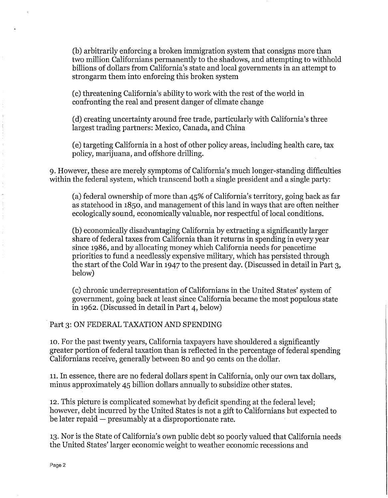(b) arbitrarily enforcing a broken immigration system that consigns more than two million Californians permanently to the shadows, and attempting to withhold billions of dollars from California's state and local governments in an attempt to strongarm them into enforcing this broken system

(c) threatening California's ability to work with the rest of the world in confronting the real and present danger of climate change

(d) creating uncertainty around free trade, particularly with California's three largest trading partners: Mexico, Canada, and China

(e) targeting California in a host of other policy areas, including health care, tax policy, marijuana, and offshore drilling.

9. However, these are merely symptoms of California's much longer-standing difficulties within the federal system, which transcend both a single president and a single party:

(a) federal ownership of more than 45% of California's territory, going back as far as statehood in 1850, and management of this land in ways that are often neither ecologically sound, economically valuable, nor respectful of local conditions.

(b) economically disadvantaging California by extracting a significantly larger share of federal taxes from California than it returns in spending in every year since 1986, and by allocating money which California needs for peacetime priorities to fund a needlessly expensive military, which has persisted through the start of the Cold War in 1947 to the present day. (Discussed in detail in Part 3, below)

(c) chronic underrepresentation of Californians in the United States' system of government, going back at least since California became the most populous state in 1962. (Discussed in detail in Part 4, below)

# Part 3: ON FEDERAL TAXATION AND SPENDING

10. For the past twenty years, California taxpayers have shouldered a significantly greater portion of federal taxation than is reflected in the percentage of federal spending Californians receive, generally between 80 and 90 cents on the dollar.

11. In essence, there are no federal dollars spent in California, only our own tax dollars, minus approximately 45 billion dollars annually to subsidize other states.

12. This picture is complicated somewhat by deficit spending at the federal level; however, debt incurred by the United States is not a gift to Californians but expected to be later repaid  $-$  presumably at a disproportionate rate.

13. Nor is the State of California's own public debt so poorly valued that California needs the United States' larger economic weight to weather economic recessions and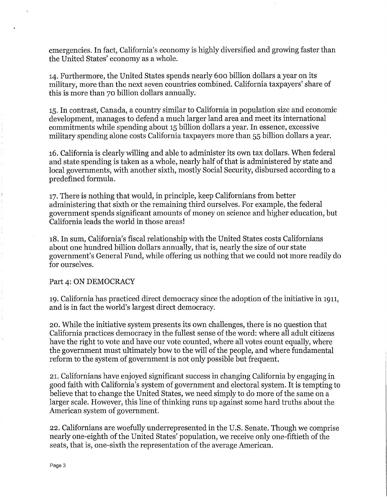emergencies. In fact, California's economy is highly diversified and growing faster than the United States' economy as a whole.

14. Furthermore, the United States spends nearly 600 billion dollars a year on its military, more than the next seven countries combined. California taxpayers' share of this is more than 70 billion dollars annually.

15. In contrast, Canada, a country similar to California in population size and economic development, manages to defend a much larger land area and meet its international commitments while spending about 15 billion dollars a year. In essence, excessive military spending alone costs California taxpayers more than 55 billion dollars a year.

16. California is clearly willing and able to administer its own tax dollars. When federal and state spending is taken as a whole, nearly half of that is administered by state and local governments, with another sixth, mostly Social Security, disbursed according to a predefined formula.

17. There is nothing that would, in principle, keep Californians from better administering that sixth or the remaining third ourselves. For example, the federal government spends significant amounts of money on science and higher education, but California leads the world in those areas!

18. In sum, California's fiscal relationship with the United States costs Californians about one hundred billion dollars annually, that is, nearly the size of our state government's General Fund, while offering us nothing that we could not more readily do for ourselves.

## Part 4: ON DEMOCRACY

19. California has practiced direct democracy since the adoption of the initiative in 1911, and is in fact the world's largest direct democracy.

20. While the initiative system presents its own challenges, there is no question that California practices democracy in the fullest sense of the word: where all adult citizens have the right to vote and have our vote counted, where all votes count equally, where the government must ultimately bow to the will of the people, and where fundamental reform to the system of government is not only possible but frequent.

21. Californians have enjoyed significant success in changing California by engaging in good faith with California's system of government and electoral system. It is tempting to believe that to change the United States, we need simply to do more of the same on a larger scale. However, this line of thinking runs up against some hard truths about the American system of government.

22. Californians are woefully underrepresented in the U.S. Senate. Though we comprise nearly one-eighth of the United States' population, we receive only one-fiftieth of the seats, that is, one-sixth the representation of the average American.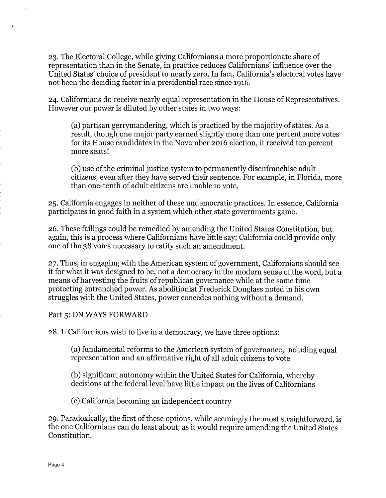23. The Electoral College, while giving Californians a more proportionate share of representation than in the Senate, in practice reduces Californians' influence over the United States' choice of president to nearly zero. In fact, California's electoral votes have not been the deciding factor in a presidential race since 1916.

24. Californians do receive nearly equal representation in the House of Representatives. However our power is diluted by other states in two ways:

(a) partisan gerrymandering, which is practiced by the majority of states. As a result, though one major party earned slightly more than one percent more votes for its House candidates in the November 2016 election, it received ten percent more seats!

(b) use of the criminal justice system to permanently disenfranchise adult citizens, even after they have served their sentence. For example, in Florida, more than one-tenth of adult citizens are unable to vote.

25. California engages in neither of these undemocratic practices. In essence, California participates in good faith in a system which other state governments game.

26. These failings could be remedied by amending the United States Constitution, but again, this is a process where Californians have little say; California could provide only one of the 38 votes necessary to ratify such an amendment.

27. Thus, in engaging with the American system of government, Californians should see it for what it was designed to be, not a democracy in the modern sense of the word, but a means of harvesting the fruits of republican governance while at the same time protecting entrenched power. As abolitionist Frederick Douglass noted in his own struggles with the United States, power concedes nothing without a demand.

Part 5: ON WAYS FORWARD

28. If Californians wish to live in a democracy, we have three options:

(a) fundamental reforms to the American system of governance, including equal representation and an affirmative right of all adult citizens to vote

(b) significant autonomy within the United States for California, whereby decisions at the federal level have little impact on the lives of Californians

(c) California becoming an independent country

29. Paradoxically, the first of these options, while seemingly the most straightforward, is the one Californians can do least about, as it would require amending the United States Constitution.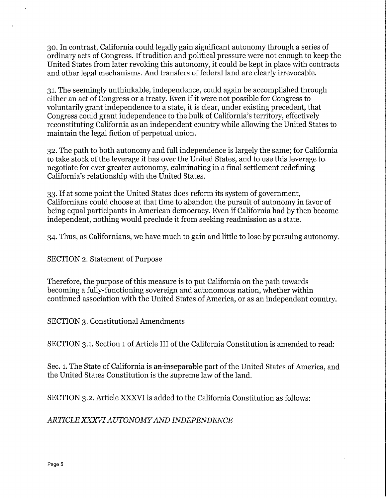30. In contrast, California could legally gain significant autonomy through a series of ordinary acts of Congress. If tradition and political pressure were not enough to keep the United States from later revoking this autonomy, it could be kept in place with contracts and other legal mechanisms. And transfers of federal land are clearly irrevocable.

31. The seemingly unthinkable, independence, could again be accomplished through either an act of Congress or a treaty. Even if it were not possible for Congress to voluntarily grant independence to a state, it is clear, under existing precedent, that Congress could grant independence to the bulk of California's territory, effectively reconstituting California as an independent country while allowing the United States to maintain the legal fiction of perpetual union.

32. The path to both autonomy and full independence is largely the same; for California to take stock of the leverage it has over the United States, and to use this leverage to negotiate for ever greater autonomy, culminating in a final settlement redefining California's relationship with the United States.

33. If at some point the United States does reform its system of government, Californians could choose at that time to abandon the pursuit of autonomy in favor of being equal participants in American democracy. Even if California had by then become independent, nothing would preclude it from seeking readmission as a state.

34. Thus, as Californians, we have much to gain and little to lose by pursuing autonomy.

SECTION 2. Statement of Purpose

Therefore, the purpose of this measure is to put California on the path towards becoming a fully-functioning sovereign and autonomous nation, whether within continued association with the United States of America, or as an independent country.

SECTION 3. Constitutional Amendments

SECTION 3.1. Section 1 of Article III of the California Constitution is amended to read:

Sec. 1. The State of California is an inseparable part of the United States of America, and the United States Constitution is the supreme law of the land.

SECTION 3.2. Article XXXVI is added to the California Constitution as follows:

*ARTICLE XXXVIAUTONOMYAND INDEPENDENCE*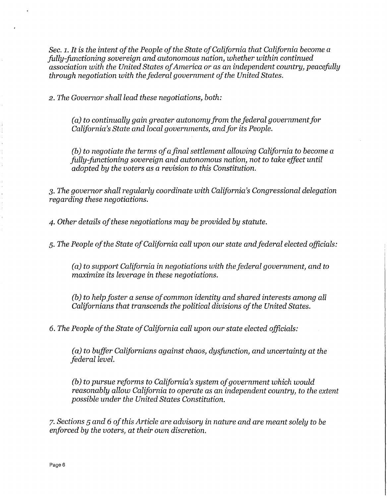*Sec. 1. It is the intent of the People of the State of California that California become a fully-functioning sovereign and autonomous nation, whether within continued association with the United States ofAmerica or as an independent country, peacefully through negotiation with the federal government ofthe United States.* 

2. *The Governor shall lead these negotiations, both:* 

(a) to continually gain greater autonomy from the federal government for *California's State and local governments, and for its People.* 

*(b) to negotiate the terms ofa final settlement allowing California to become a fully-functioning sovereign and autonomous nation, not to take effect until adopted by the voters as a revision to this Constitution.* 

*3. The governor shall regularly coordinate with California's Congressional delegation regarding these negotiations.* 

*4. Other details ofthese negotiations may be provided by statute.* 

*5. The People ofthe State ofCalifornia call upon our state and federal elected officials:* 

*(a) to support California in negotiations with the federal government, and to maximize its leverage in these negotiations.* 

*(b)* to help foster a sense of common identity and shared interests among all *Californians that transcends the political divisions of the United States.* 

6. *The People ofthe State ofCalifornia call upon our state elected officials:* 

*(a) to buffer Californians against chaos, dysfunction, and uncertainty at the federal level.* 

*(b) to pursue reforms to California's system ofgovernment which would reasonably allow California to operate as an independent country, to the extent possible under the United States Constitution.* 

*7. Sections 5 and* 6 *ofthis Article are advisory in nature and are meant solely to be enforced by the voters, at their own discretion.*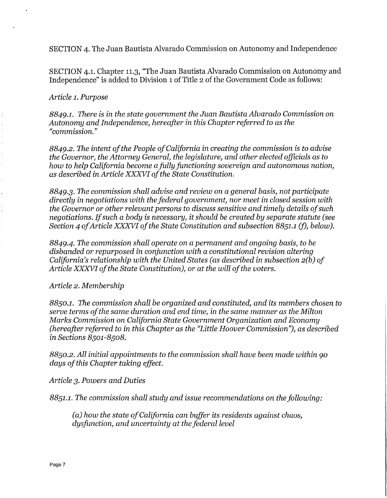SECTION 4. The Juan Bautista Alvarado Commission on Autonomy and Independence

SECTION 4.1. Chapter 11.3, "The Juan Bautista Alvarado Commission on Autonomy and Independence" is added to Division 1 of Title 2 of the Government Code as follows:

### *Article 1. Purpose*

*8849.1. There is in the state government the Juan Bautista Alvarado Commission on Autonomy and Independence, hereafter in this Chapter referred to as the "commission."* 

*8849.2. The intent ofthe People ofCalifornia in creating the commission is to advise the Governor, the Attorney General, the legislature, and other elected officials as to how to help California become a.fully.functioning sovereign and autonomous nation, as described in Article XXXVI ofthe State Constitution.* 

*8849.3.* The *commission shall advise and review on a general basis, not participate directly in negotiations with the federal government, nor meet in closed session with the Governor or other relevant persons to discuss sensitive and timely details ofsuch negotiations. Ifsuch a body is necessary, it should be created by separate statute (see Section 4 of Article XXXVI of the State Constitution and subsection 8851.1 (f), below).* 

*8849.4. The commission shall operate on a permanent and ongoing basis, to be disbanded or repurposed in conjunction with a constitutional revision altering California's relationship with the United States (as described in subsection 2(b) of*  Article XXXVI of the State Constitution), or at the will of the voters.

#### *Article 2. Membership*

*8850.1. The commission shall be organized and constituted, and its members chosen to serve terms ofthe same duration and end time, in the same manner as the Milton Marks Commission on California State Government Organization and Economy (hereafter referred to in this Chapter as the "Little Hoover Commission"), as described in Sections 8501-8508.* 

*8850.2. All initial appointments to the commission shall have been made within 90 days ofthis Chapter taking effect.* 

*Article 3. Powers and Duties* 

*8851.1. The commission shall study and issue recommendations on the following:* 

*(a) how the state ofCalifornia can buffer its residents against chaos, dysfunction, and uncertainty at the federal level*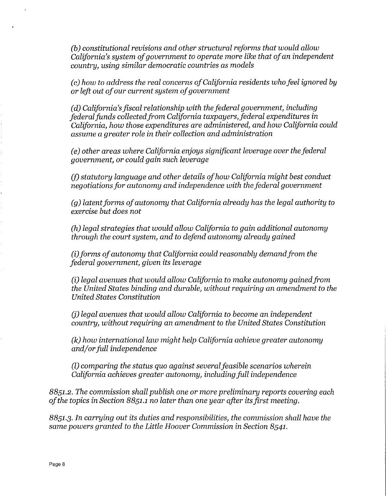*(b) constitutional revisions and other structural reforms that would allow California's sustem of government to operate more like that of an independent country, using similar democratic countries as models* 

*(c) how to address the real concerns ofCalifornia residents who feel ignored by or left out ofour current system ofgovernment* 

*(d)* California's fiscal relationship with the federal government, including *federalfunds collectedfrom California taxpayers,federal expenditures* in *California, how those expenditures are administered, and how California could assume a greater role* in *their collection and administration* 

*(e) other areas where California enjoys significant leverage over the federal government, or could gain such leverage* 

*(f) statutory language and other details ofhow California might best conduct negotiations for autonomy and independence with the federal government* 

*(g) latent forms of autonomy that California already has the legal authority to exercise but does not* 

*(h) legal strategies that would allow California to gain additional autonomy through the court system, and to defend autonomy already gained* 

*(i)forms ofautonomy that California could reasonably demandfrom the federal government, given its leverage* 

*(i) legal avenues that would allow California to make autonomy gained from the United States binding and durable, without requiring an amendment to the United States Constitution* 

(j) *legal avenues that would allow California to become an independent country, without requiring an amendment to the United States Constitution* 

*(k) how international law might help California achieve greater autonomy and/or full independence* 

(l) *comparing the status quo against severalfeasible scenarios wherein California achieves greater autonomy, including full independence* 

8851.2. *The commission shall publish one or more preliminary reports covering each ofthe topics* in *Section* 8851.1 no *later than one year after its.first meeting.* 

8851.3. *In carrying out its duties and responsibilities, the commission shall have the same powers granted to the Little Hoover Commission* in *Section* 8541.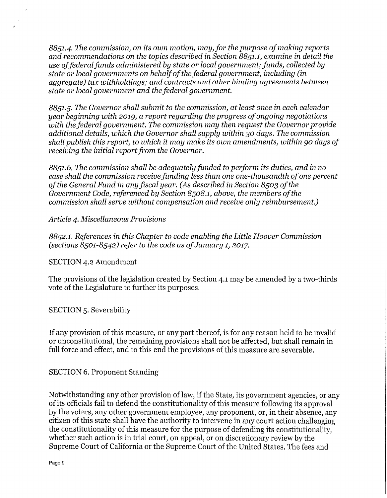8851.4. *The commission, on its own motion, may,for the purpose ofmaking reports and recommendations on the topics described in Section* 8851.1, *examine in detail the use offederal funds administered by state or local government; funds, collected by state or local governments on behalf ofthe federal government, including (in aggregate) tax withholdings; and contracts and other binding agreements between state or local government and the federal government.* 

8851.5. *The Governor shall submit to the commission, at least once in each calendar year beginning with* 2019, *a report regarding the progress ofongoing negotiations with the federal government. The commission may then request the Governor provide additional details, which the Governor shall supply within* 30 *days. The commission shall publish this report, to which it may make its own amendments, within* 90 *days of receiving the initial report from the Governor.* 

8851.6. *The commission shall be adequately funded to perform its duties, and in no case shall the commission receive funding less than one one-thousandth ofone percent ofthe General Fund in any fiscal year. (As described in Section* 8503 *ofthe Government Code, referenced by Section* 8508.1, *above, the members ofthe commission shall serve without compensation and receive only reimbursement.)* 

*Article 4. Miscellaneous Provisions* 

8852.1. *References in this Chapter to code enabling the Little Hoover Commission (sections* 8501-8542) *refer to the code as ofJanuary* 1, 2017.

SECTION 4.2 Amendment

The provisions of the legislation created by Section 4.1 may be amended by a two-thirds vote of the Legislature to further its purposes.

SECTION 5. Severability

If any provision of this measure, or any part thereof, is for any reason held to be invalid or unconstitutional, the remaining provisions shall not be affected, but shall remain in full force and effect, and to this end the provisions of this measure are severable.

SECTION 6. Proponent Standing

Notwithstanding any other provision of law, if the State, its government agencies, or any of its officials fail to defend the constitutionality of this measure following its approval by the voters, any other government employee, any proponent, or, in their absence, any citizen of this state shall have the authority to intervene in any court action challenging the constitutionality of this measure for the purpose of defending its constitutionality, whether such action is in trial court, on appeal, or on discretionary review by the Supreme Court of California or the Supreme Court of the United States. The fees and